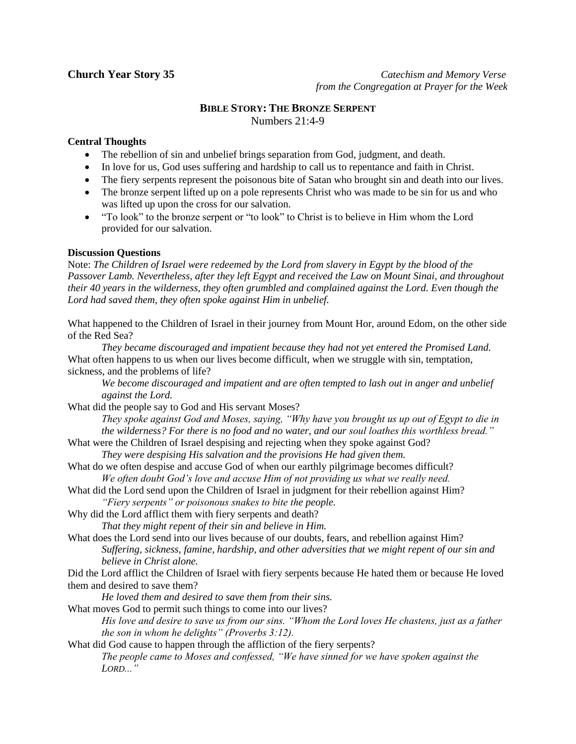**Church Year Story 35** *Catechism and Memory Verse* *from the Congregation at Prayer for the Week*

# **BIBLE STORY: THE BRONZE SERPENT** Numbers 21:4-9

### **Central Thoughts**

- The rebellion of sin and unbelief brings separation from God, judgment, and death.
- In love for us, God uses suffering and hardship to call us to repentance and faith in Christ.
- The fiery serpents represent the poisonous bite of Satan who brought sin and death into our lives.
- The bronze serpent lifted up on a pole represents Christ who was made to be sin for us and who was lifted up upon the cross for our salvation.
- "To look" to the bronze serpent or "to look" to Christ is to believe in Him whom the Lord provided for our salvation.

## **Discussion Questions**

Note: *The Children of Israel were redeemed by the Lord from slavery in Egypt by the blood of the Passover Lamb. Nevertheless, after they left Egypt and received the Law on Mount Sinai, and throughout their 40 years in the wilderness, they often grumbled and complained against the Lord. Even though the Lord had saved them, they often spoke against Him in unbelief.*

What happened to the Children of Israel in their journey from Mount Hor, around Edom, on the other side of the Red Sea?

*They became discouraged and impatient because they had not yet entered the Promised Land.* What often happens to us when our lives become difficult, when we struggle with sin, temptation, sickness, and the problems of life?

*We become discouraged and impatient and are often tempted to lash out in anger and unbelief against the Lord.*

What did the people say to God and His servant Moses?

*They spoke against God and Moses, saying, "Why have you brought us up out of Egypt to die in the wilderness? For there is no food and no water, and our soul loathes this worthless bread."*

- What were the Children of Israel despising and rejecting when they spoke against God?
	- *They were despising His salvation and the provisions He had given them.*
- What do we often despise and accuse God of when our earthly pilgrimage becomes difficult? *We often doubt God's love and accuse Him of not providing us what we really need.*

What did the Lord send upon the Children of Israel in judgment for their rebellion against Him? *"Fiery serpents" or poisonous snakes to bite the people.*

Why did the Lord afflict them with fiery serpents and death?

*That they might repent of their sin and believe in Him.*

What does the Lord send into our lives because of our doubts, fears, and rebellion against Him? *Suffering, sickness, famine, hardship, and other adversities that we might repent of our sin and believe in Christ alone.*

Did the Lord afflict the Children of Israel with fiery serpents because He hated them or because He loved them and desired to save them?

*He loved them and desired to save them from their sins.*

What moves God to permit such things to come into our lives?

*His love and desire to save us from our sins. "Whom the Lord loves He chastens, just as a father the son in whom he delights" (Proverbs 3:12).*

What did God cause to happen through the affliction of the fiery serpents?

*The people came to Moses and confessed, "We have sinned for we have spoken against the LORD..."*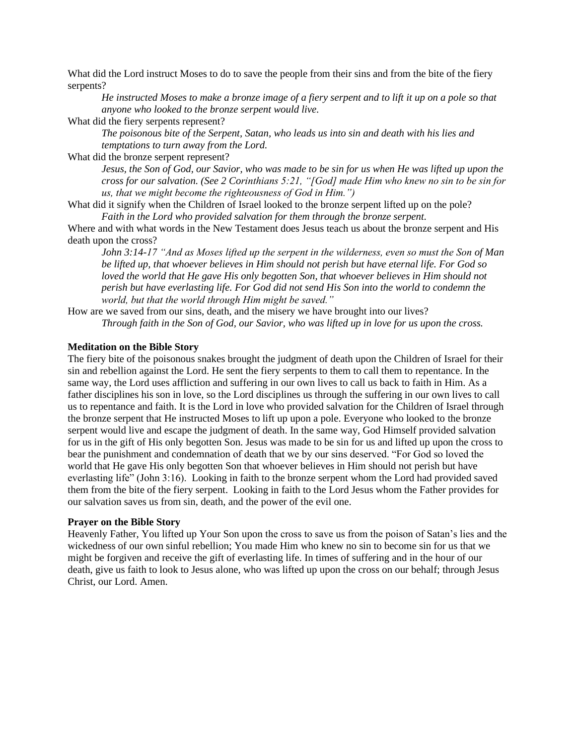What did the Lord instruct Moses to do to save the people from their sins and from the bite of the fiery serpents?

*He instructed Moses to make a bronze image of a fiery serpent and to lift it up on a pole so that anyone who looked to the bronze serpent would live.*

What did the fiery serpents represent?

*The poisonous bite of the Serpent, Satan, who leads us into sin and death with his lies and temptations to turn away from the Lord.*

What did the bronze serpent represent?

*Jesus, the Son of God, our Savior, who was made to be sin for us when He was lifted up upon the cross for our salvation. (See 2 Corinthians 5:21, "[God] made Him who knew no sin to be sin for us, that we might become the righteousness of God in Him.")*

What did it signify when the Children of Israel looked to the bronze serpent lifted up on the pole? *Faith in the Lord who provided salvation for them through the bronze serpent.*

Where and with what words in the New Testament does Jesus teach us about the bronze serpent and His death upon the cross?

*John 3:14-17 "And as Moses lifted up the serpent in the wilderness, even so must the Son of Man be lifted up, that whoever believes in Him should not perish but have eternal life. For God so loved the world that He gave His only begotten Son, that whoever believes in Him should not perish but have everlasting life. For God did not send His Son into the world to condemn the world, but that the world through Him might be saved."*

How are we saved from our sins, death, and the misery we have brought into our lives? *Through faith in the Son of God, our Savior, who was lifted up in love for us upon the cross.*

#### **Meditation on the Bible Story**

The fiery bite of the poisonous snakes brought the judgment of death upon the Children of Israel for their sin and rebellion against the Lord. He sent the fiery serpents to them to call them to repentance. In the same way, the Lord uses affliction and suffering in our own lives to call us back to faith in Him. As a father disciplines his son in love, so the Lord disciplines us through the suffering in our own lives to call us to repentance and faith. It is the Lord in love who provided salvation for the Children of Israel through the bronze serpent that He instructed Moses to lift up upon a pole. Everyone who looked to the bronze serpent would live and escape the judgment of death. In the same way, God Himself provided salvation for us in the gift of His only begotten Son. Jesus was made to be sin for us and lifted up upon the cross to bear the punishment and condemnation of death that we by our sins deserved. "For God so loved the world that He gave His only begotten Son that whoever believes in Him should not perish but have everlasting life" (John 3:16). Looking in faith to the bronze serpent whom the Lord had provided saved them from the bite of the fiery serpent. Looking in faith to the Lord Jesus whom the Father provides for our salvation saves us from sin, death, and the power of the evil one.

#### **Prayer on the Bible Story**

Heavenly Father, You lifted up Your Son upon the cross to save us from the poison of Satan's lies and the wickedness of our own sinful rebellion; You made Him who knew no sin to become sin for us that we might be forgiven and receive the gift of everlasting life. In times of suffering and in the hour of our death, give us faith to look to Jesus alone, who was lifted up upon the cross on our behalf; through Jesus Christ, our Lord. Amen.